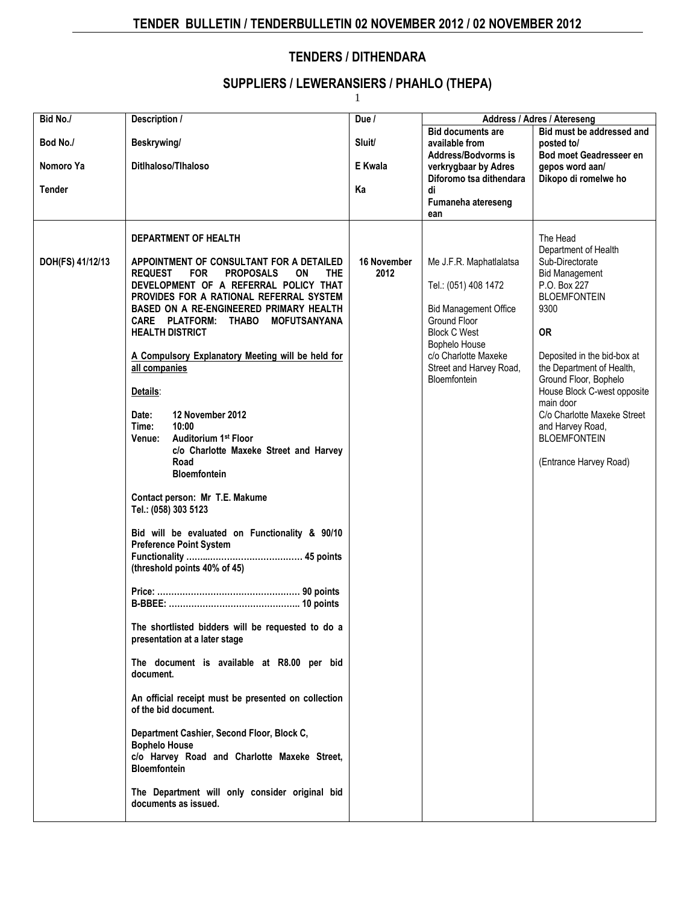## **TENDERS / DITHENDARA**

#### **SUPPLIERS / LEWERANSIERS / PHAHLO (THEPA)**

1

| Bid No./                               | Description /                                                                                                                                                                                                                                                                                                                                                                                                                                                                                                                                                                                                                                                                                                                                                                                                                                                                                                                                                                                                                                                                                                                                                                                                                                          | Due $\sqrt{ }$          |                                                                                                                                                                                                                   | Address / Adres / Atereseng                                                                                                                                                                                                                                                                                                                                                   |
|----------------------------------------|--------------------------------------------------------------------------------------------------------------------------------------------------------------------------------------------------------------------------------------------------------------------------------------------------------------------------------------------------------------------------------------------------------------------------------------------------------------------------------------------------------------------------------------------------------------------------------------------------------------------------------------------------------------------------------------------------------------------------------------------------------------------------------------------------------------------------------------------------------------------------------------------------------------------------------------------------------------------------------------------------------------------------------------------------------------------------------------------------------------------------------------------------------------------------------------------------------------------------------------------------------|-------------------------|-------------------------------------------------------------------------------------------------------------------------------------------------------------------------------------------------------------------|-------------------------------------------------------------------------------------------------------------------------------------------------------------------------------------------------------------------------------------------------------------------------------------------------------------------------------------------------------------------------------|
| Bod No./<br>Nomoro Ya<br><b>Tender</b> | Beskrywing/<br>Ditihaloso/Tihaloso                                                                                                                                                                                                                                                                                                                                                                                                                                                                                                                                                                                                                                                                                                                                                                                                                                                                                                                                                                                                                                                                                                                                                                                                                     | Sluit/<br>E Kwala<br>Ka | <b>Bid documents are</b><br>available from<br>Address/Bodvorms is<br>verkrygbaar by Adres<br>Diforomo tsa dithendara<br>di<br>Fumaneha atereseng<br>ean                                                           | Bid must be addressed and<br>posted to/<br><b>Bod moet Geadresseer en</b><br>gepos word aan/<br>Dikopo di romelwe ho                                                                                                                                                                                                                                                          |
| DOH(FS) 41/12/13                       | DEPARTMENT OF HEALTH<br>APPOINTMENT OF CONSULTANT FOR A DETAILED<br><b>PROPOSALS</b><br><b>THE</b><br><b>REQUEST</b><br><b>FOR</b><br>ΟN<br>DEVELOPMENT OF A REFERRAL POLICY THAT<br>PROVIDES FOR A RATIONAL REFERRAL SYSTEM<br><b>BASED ON A RE-ENGINEERED PRIMARY HEALTH</b><br>CARE PLATFORM: THABO<br><b>MOFUTSANYANA</b><br><b>HEALTH DISTRICT</b><br>A Compulsory Explanatory Meeting will be held for<br>all companies<br>Details:<br>12 November 2012<br>Date:<br>Time:<br>10:00<br><b>Auditorium 1st Floor</b><br><b>Venue:</b><br>c/o Charlotte Maxeke Street and Harvey<br>Road<br><b>Bloemfontein</b><br>Contact person: Mr T.E. Makume<br>Tel.: (058) 303 5123<br>Bid will be evaluated on Functionality & 90/10<br><b>Preference Point System</b><br>(threshold points 40% of 45)<br>The shortlisted bidders will be requested to do a<br>presentation at a later stage<br>The document is available at R8.00 per bid<br>document.<br>An official receipt must be presented on collection<br>of the bid document.<br>Department Cashier, Second Floor, Block C,<br><b>Bophelo House</b><br>c/o Harvey Road and Charlotte Maxeke Street,<br><b>Bloemfontein</b><br>The Department will only consider original bid<br>documents as issued. | 16 November<br>2012     | Me J.F.R. Maphatlalatsa<br>Tel.: (051) 408 1472<br><b>Bid Management Office</b><br>Ground Floor<br><b>Block C West</b><br>Bophelo House<br>c/o Charlotte Maxeke<br>Street and Harvey Road,<br><b>Bloemfontein</b> | The Head<br>Department of Health<br>Sub-Directorate<br><b>Bid Management</b><br>P.O. Box 227<br><b>BLOEMFONTEIN</b><br>9300<br><b>OR</b><br>Deposited in the bid-box at<br>the Department of Health,<br>Ground Floor, Bophelo<br>House Block C-west opposite<br>main door<br>C/o Charlotte Maxeke Street<br>and Harvey Road,<br><b>BLOEMFONTEIN</b><br>(Entrance Harvey Road) |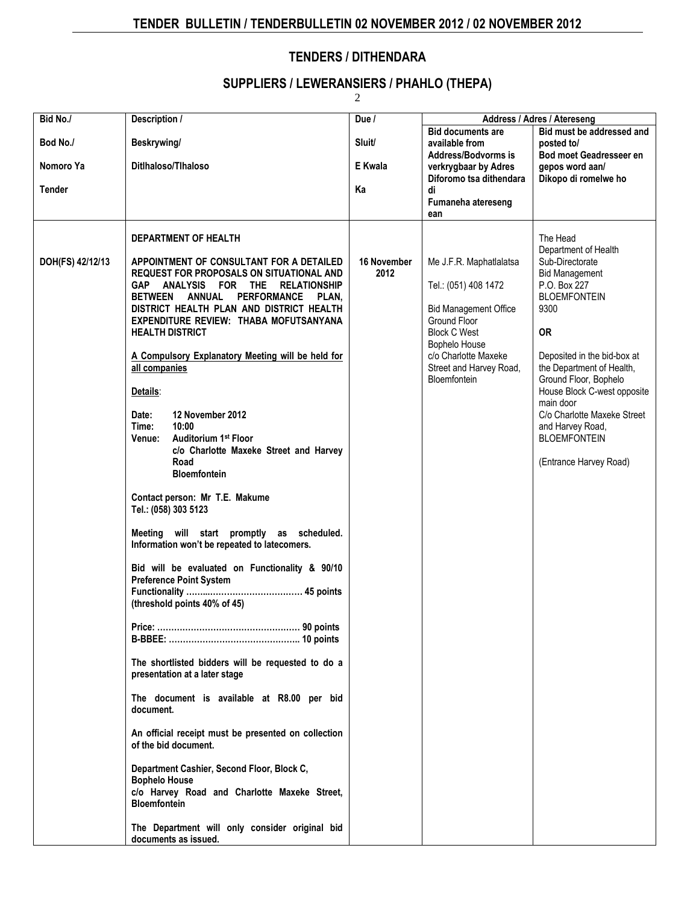#### **TENDERS / DITHENDARA**

#### **SUPPLIERS / LEWERANSIERS / PHAHLO (THEPA)**

2

| Bid No./         | Description /                                                                                                                                                                                                                                                                                                                                                                                                                                                                                                                                                                                                                                                                                                                                                                                                                                                                                                                                                                                                                                                                                                                                                                                                                                                                                           | Due /                      | Address / Adres / Atereseng                                                                                                                                                                                |                                                                                                                                                                                                                                                                                                                                                                               |
|------------------|---------------------------------------------------------------------------------------------------------------------------------------------------------------------------------------------------------------------------------------------------------------------------------------------------------------------------------------------------------------------------------------------------------------------------------------------------------------------------------------------------------------------------------------------------------------------------------------------------------------------------------------------------------------------------------------------------------------------------------------------------------------------------------------------------------------------------------------------------------------------------------------------------------------------------------------------------------------------------------------------------------------------------------------------------------------------------------------------------------------------------------------------------------------------------------------------------------------------------------------------------------------------------------------------------------|----------------------------|------------------------------------------------------------------------------------------------------------------------------------------------------------------------------------------------------------|-------------------------------------------------------------------------------------------------------------------------------------------------------------------------------------------------------------------------------------------------------------------------------------------------------------------------------------------------------------------------------|
| Bod No./         | Beskrywing/                                                                                                                                                                                                                                                                                                                                                                                                                                                                                                                                                                                                                                                                                                                                                                                                                                                                                                                                                                                                                                                                                                                                                                                                                                                                                             | Sluit/                     | <b>Bid documents are</b><br>available from<br><b>Address/Bodvorms is</b>                                                                                                                                   | Bid must be addressed and<br>posted to/<br><b>Bod moet Geadresseer en</b>                                                                                                                                                                                                                                                                                                     |
| Nomoro Ya        | Ditlhaloso/Tlhaloso                                                                                                                                                                                                                                                                                                                                                                                                                                                                                                                                                                                                                                                                                                                                                                                                                                                                                                                                                                                                                                                                                                                                                                                                                                                                                     | E Kwala                    | verkrygbaar by Adres<br>Diforomo tsa dithendara                                                                                                                                                            | gepos word aan/<br>Dikopo di romelwe ho                                                                                                                                                                                                                                                                                                                                       |
| <b>Tender</b>    |                                                                                                                                                                                                                                                                                                                                                                                                                                                                                                                                                                                                                                                                                                                                                                                                                                                                                                                                                                                                                                                                                                                                                                                                                                                                                                         | Ka                         | di<br>Fumaneha atereseng<br>ean                                                                                                                                                                            |                                                                                                                                                                                                                                                                                                                                                                               |
| DOH(FS) 42/12/13 | DEPARTMENT OF HEALTH<br>APPOINTMENT OF CONSULTANT FOR A DETAILED<br><b>REQUEST FOR PROPOSALS ON SITUATIONAL AND</b><br>GAP ANALYSIS FOR THE RELATIONSHIP<br>BETWEEN ANNUAL PERFORMANCE<br>PLAN.<br>DISTRICT HEALTH PLAN AND DISTRICT HEALTH<br>EXPENDITURE REVIEW: THABA MOFUTSANYANA<br><b>HEALTH DISTRICT</b><br>A Compulsory Explanatory Meeting will be held for<br>all companies<br>Details:<br>12 November 2012<br>Date:<br>10:00<br>Time:<br><b>Auditorium 1st Floor</b><br>Venue:<br>c/o Charlotte Maxeke Street and Harvey<br>Road<br><b>Bloemfontein</b><br>Contact person: Mr T.E. Makume<br>Tel.: (058) 303 5123<br>will start promptly as scheduled.<br>Meeting<br>Information won't be repeated to latecomers.<br>Bid will be evaluated on Functionality & 90/10<br><b>Preference Point System</b><br>(threshold points 40% of 45)<br>The shortlisted bidders will be requested to do a<br>presentation at a later stage<br>The document is available at R8.00 per bid<br>document.<br>An official receipt must be presented on collection<br>of the bid document.<br>Department Cashier, Second Floor, Block C,<br><b>Bophelo House</b><br>c/o Harvey Road and Charlotte Maxeke Street,<br><b>Bloemfontein</b><br>The Department will only consider original bid<br>documents as issued. | <b>16 November</b><br>2012 | Me J.F.R. Maphatlalatsa<br>Tel.: (051) 408 1472<br><b>Bid Management Office</b><br>Ground Floor<br><b>Block C West</b><br>Bophelo House<br>c/o Charlotte Maxeke<br>Street and Harvey Road,<br>Bloemfontein | The Head<br>Department of Health<br>Sub-Directorate<br><b>Bid Management</b><br>P.O. Box 227<br><b>BLOEMFONTEIN</b><br>9300<br><b>OR</b><br>Deposited in the bid-box at<br>the Department of Health,<br>Ground Floor, Bophelo<br>House Block C-west opposite<br>main door<br>C/o Charlotte Maxeke Street<br>and Harvey Road,<br><b>BLOEMFONTEIN</b><br>(Entrance Harvey Road) |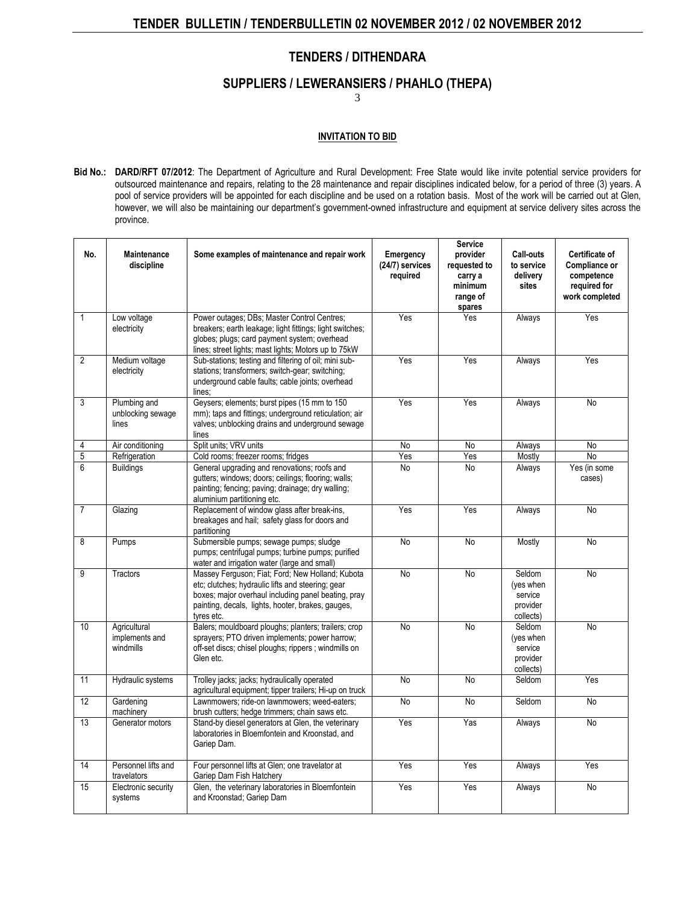#### **TENDERS / DITHENDARA**

#### **SUPPLIERS / LEWERANSIERS / PHAHLO (THEPA)**

3

#### **INVITATION TO BID**

**Bid No.: DARD/RFT 07/2012**: The [Department of Agriculture](http://www.greengazette.co.za/departments/agriculture) and Rural Development: Free State would like invite potential service providers for outsourced maintenance and repairs, relating to the 28 maintenance and repair disciplines indicated below, for a period of three (3) years. A pool of service providers will be appointed for each discipline and be used on a rotation basis. Most of the work will be carried out at Glen, however, we will also be maintaining our department's government-owned infrastructure and equipment at service delivery sites across the province.

| No.            | <b>Maintenance</b><br>discipline            | Some examples of maintenance and repair work                                                                                                                                                                                    | Emergency<br>(24/7) services<br>required | <b>Service</b><br>provider<br>requested to<br>carry a<br>minimum<br>range of<br>spares | Call-outs<br>to service<br>delivery<br>sites            | Certificate of<br>Compliance or<br>competence<br>required for<br>work completed |
|----------------|---------------------------------------------|---------------------------------------------------------------------------------------------------------------------------------------------------------------------------------------------------------------------------------|------------------------------------------|----------------------------------------------------------------------------------------|---------------------------------------------------------|---------------------------------------------------------------------------------|
| $\mathbf{1}$   | Low voltage<br>electricity                  | Power outages; DBs; Master Control Centres;<br>breakers; earth leakage; light fittings; light switches;<br>globes; plugs; card payment system; overhead<br>lines; street lights; mast lights; Motors up to 75kW                 | Yes                                      | Yes                                                                                    | Always                                                  | Yes                                                                             |
| $\overline{2}$ | Medium voltage<br>electricity               | Sub-stations; testing and filtering of oil; mini sub-<br>stations; transformers; switch-gear; switching;<br>underground cable faults; cable joints; overhead<br>lines;                                                          | Yes                                      | Yes                                                                                    | Always                                                  | Yes                                                                             |
| 3              | Plumbing and<br>unblocking sewage<br>lines  | Geysers; elements; burst pipes (15 mm to 150)<br>mm); taps and fittings; underground reticulation; air<br>valves; unblocking drains and underground sewage<br>lines                                                             | Yes                                      | Yes                                                                                    | Always                                                  | <b>No</b>                                                                       |
| 4              | Air conditioning                            | Split units; VRV units                                                                                                                                                                                                          | <b>No</b>                                | <b>No</b>                                                                              | Always                                                  | No                                                                              |
| 5              | Refrigeration                               | Cold rooms; freezer rooms; fridges                                                                                                                                                                                              | Yes                                      | Yes                                                                                    | Mostly                                                  | <b>No</b>                                                                       |
| $\overline{6}$ | <b>Buildings</b>                            | General upgrading and renovations; roofs and<br>gutters; windows; doors; ceilings; flooring; walls;<br>painting; fencing; paving; drainage; dry walling;<br>aluminium partitioning etc.                                         | <b>No</b>                                | <b>No</b>                                                                              | Always                                                  | Yes (in some<br>cases)                                                          |
| 7              | Glazing                                     | Replacement of window glass after break-ins,<br>breakages and hail; safety glass for doors and<br>partitioning                                                                                                                  | Yes                                      | Yes                                                                                    | Always                                                  | <b>No</b>                                                                       |
| $\overline{8}$ | Pumps                                       | Submersible pumps; sewage pumps; sludge<br>pumps; centrifugal pumps; turbine pumps; purified<br>water and irrigation water (large and small)                                                                                    | No                                       | No                                                                                     | Mostly                                                  | No                                                                              |
| $\overline{9}$ | Tractors                                    | Massey Ferguson; Fiat; Ford; New Holland; Kubota<br>etc; clutches; hydraulic lifts and steering; gear<br>boxes; major overhaul including panel beating, pray<br>painting, decals, lights, hooter, brakes, gauges,<br>tyres etc. | No                                       | <b>No</b>                                                                              | Seldom<br>(yes when<br>service<br>provider<br>collects) | <b>No</b>                                                                       |
| 10             | Agricultural<br>implements and<br>windmills | Balers; mouldboard ploughs; planters; trailers; crop<br>sprayers; PTO driven implements; power harrow;<br>off-set discs; chisel ploughs; rippers ; windmills on<br>Glen etc.                                                    | <b>No</b>                                | <b>No</b>                                                                              | Seldom<br>(yes when<br>service<br>provider<br>collects) | No                                                                              |
| 11             | Hydraulic systems                           | Trolley jacks; jacks; hydraulically operated<br>agricultural equipment; tipper trailers; Hi-up on truck                                                                                                                         | No                                       | No                                                                                     | Seldom                                                  | Yes                                                                             |
| 12             | Gardening<br>machinery                      | Lawnmowers; ride-on lawnmowers; weed-eaters;<br>brush cutters; hedge trimmers; chain saws etc.                                                                                                                                  | <b>No</b>                                | N <sub>o</sub>                                                                         | Seldom                                                  | <b>No</b>                                                                       |
| 13             | Generator motors                            | Stand-by diesel generators at Glen, the veterinary<br>laboratories in Bloemfontein and Kroonstad, and<br>Gariep Dam.                                                                                                            | Yes                                      | Yas                                                                                    | Always                                                  | No                                                                              |
| 14             | Personnel lifts and<br>travelators          | Four personnel lifts at Glen; one travelator at<br>Gariep Dam Fish Hatchery                                                                                                                                                     | Yes                                      | Yes                                                                                    | Always                                                  | Yes                                                                             |
| 15             | Electronic security<br>systems              | Glen, the veterinary laboratories in Bloemfontein<br>and Kroonstad; Gariep Dam                                                                                                                                                  | Yes                                      | Yes                                                                                    | Always                                                  | No                                                                              |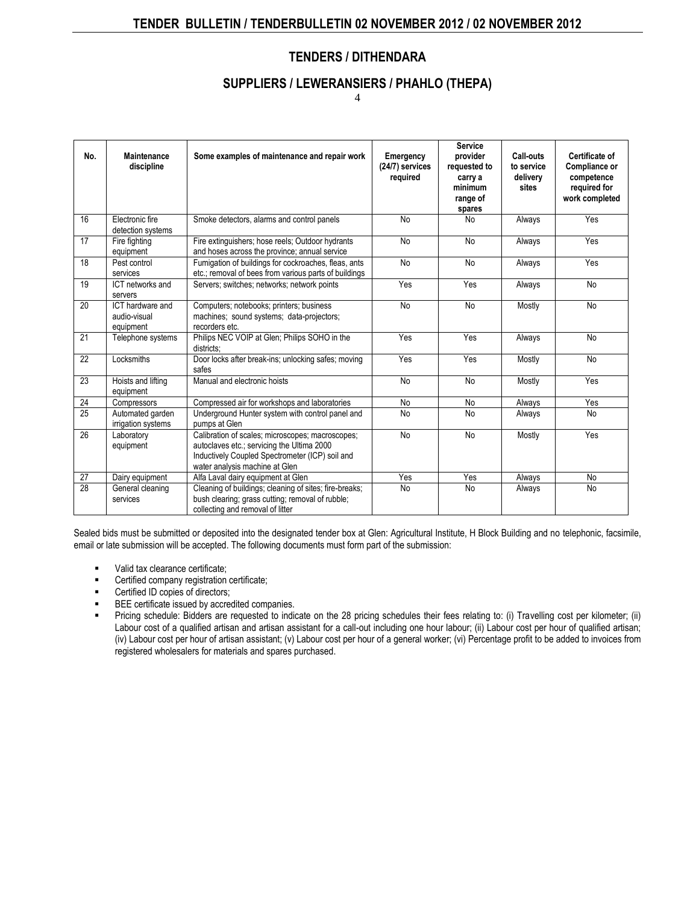#### **TENDERS / DITHENDARA**

#### **SUPPLIERS / LEWERANSIERS / PHAHLO (THEPA)**

4

| No.             | <b>Maintenance</b><br>discipline              | Some examples of maintenance and repair work                                                                                                                                        | Emergency<br>(24/7) services<br>required | <b>Service</b><br>provider<br>requested to<br>carry a<br>minimum<br>range of<br>spares | Call-outs<br>to service<br>delivery<br>sites | Certificate of<br>Compliance or<br>competence<br>required for<br>work completed |
|-----------------|-----------------------------------------------|-------------------------------------------------------------------------------------------------------------------------------------------------------------------------------------|------------------------------------------|----------------------------------------------------------------------------------------|----------------------------------------------|---------------------------------------------------------------------------------|
| 16              | Electronic fire<br>detection systems          | Smoke detectors, alarms and control panels                                                                                                                                          | <b>No</b>                                | N <sub>o</sub>                                                                         | Always                                       | Yes                                                                             |
| 17              | Fire fighting<br>equipment                    | Fire extinguishers; hose reels; Outdoor hydrants<br>and hoses across the province; annual service                                                                                   | No                                       | <b>No</b>                                                                              | Always                                       | Yes                                                                             |
| 18              | Pest control<br>services                      | Fumigation of buildings for cockroaches, fleas, ants<br>etc.; removal of bees from various parts of buildings                                                                       | No                                       | No                                                                                     | Always                                       | Yes                                                                             |
| 19              | ICT networks and<br>servers                   | Servers; switches; networks; network points                                                                                                                                         | Yes                                      | Yes                                                                                    | Always                                       | No                                                                              |
| 20              | ICT hardware and<br>audio-visual<br>equipment | Computers; notebooks; printers; business<br>machines; sound systems; data-projectors;<br>recorders etc.                                                                             | <b>No</b>                                | <b>No</b>                                                                              | Mostly                                       | <b>No</b>                                                                       |
| 21              | Telephone systems                             | Philips NEC VOIP at Glen; Philips SOHO in the<br>districts:                                                                                                                         | Yes                                      | Yes                                                                                    | Always                                       | <b>No</b>                                                                       |
| $\overline{22}$ | Locksmiths                                    | Door locks after break-ins; unlocking safes; moving<br>safes                                                                                                                        | Yes                                      | Yes                                                                                    | Mostly                                       | No                                                                              |
| 23              | Hoists and lifting<br>equipment               | Manual and electronic hoists                                                                                                                                                        | <b>No</b>                                | N <sub>o</sub>                                                                         | Mostly                                       | Yes                                                                             |
| 24              | Compressors                                   | Compressed air for workshops and laboratories                                                                                                                                       | No                                       | No                                                                                     | Always                                       | Yes                                                                             |
| 25              | Automated garden<br>irrigation systems        | Underground Hunter system with control panel and<br>pumps at Glen                                                                                                                   | No                                       | <b>No</b>                                                                              | Always                                       | <b>No</b>                                                                       |
| 26              | Laboratory<br>equipment                       | Calibration of scales; microscopes; macroscopes;<br>autoclaves etc.; servicing the Ultima 2000<br>Inductively Coupled Spectrometer (ICP) soil and<br>water analysis machine at Glen | <b>No</b>                                | N <sub>o</sub>                                                                         | Mostly                                       | Yes                                                                             |
| 27              | Dairy equipment                               | Alfa Laval dairy equipment at Glen                                                                                                                                                  | Yes                                      | Yes                                                                                    | Always                                       | No                                                                              |
| 28              | General cleaning<br>services                  | Cleaning of buildings; cleaning of sites; fire-breaks;<br>bush clearing; grass cutting; removal of rubble;<br>collecting and removal of litter                                      | <b>No</b>                                | <b>No</b>                                                                              | Always                                       | No                                                                              |

Sealed bids must be submitted or deposited into the designated tender box at Glen: Agricultural Institute, H Block Building and no telephonic, facsimile, email or late submission will be accepted. The following documents must form part of the submission:

- valid tax clearance certificate;
- **EXEC** Certified company registration certificate;
- Certified ID copies of directors;
- BEE certificate issued by accredited companies.
- Pricing schedule: Bidders are requested to indicate on the 28 pricing schedules their fees relating to: (i) Travelling cost per kilometer; (ii) Labour cost of a qualified artisan and artisan assistant for a call-out including one hour labour; (ii) Labour cost per hour of qualified artisan; (iv) Labour cost per hour of artisan assistant; (v) Labour cost per hour of a general worker; (vi) Percentage profit to be added to invoices from registered wholesalers for materials and spares purchased.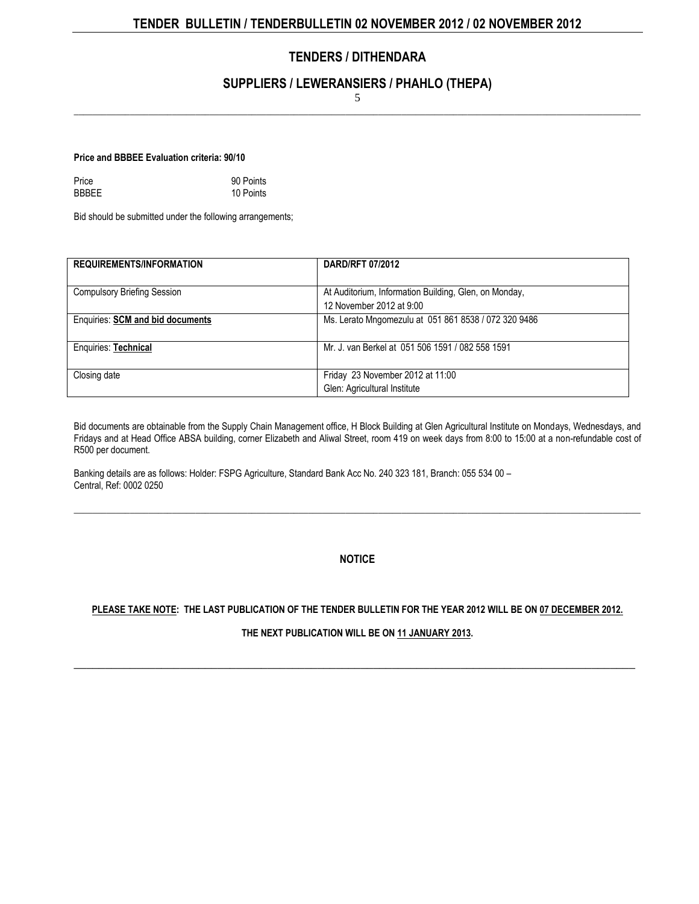#### **TENDERS / DITHENDARA**

#### **SUPPLIERS / LEWERANSIERS / PHAHLO (THEPA)**

5  $\_$  , and the set of the set of the set of the set of the set of the set of the set of the set of the set of the set of the set of the set of the set of the set of the set of the set of the set of the set of the set of th

**Price and BBBEE Evaluation criteria: 90/10** 

| Price        | 90 Points |
|--------------|-----------|
| <b>BBBEE</b> | 10 Points |

Bid should be submitted under the following arrangements;

| <b>REQUIREMENTS/INFORMATION</b>         | <b>DARD/RFT 07/2012</b>                                                           |
|-----------------------------------------|-----------------------------------------------------------------------------------|
| <b>Compulsory Briefing Session</b>      | At Auditorium, Information Building, Glen, on Monday,<br>12 November 2012 at 9:00 |
| <b>Enquiries: SCM and bid documents</b> | Ms. Lerato Mngomezulu at 051 861 8538 / 072 320 9486                              |
| Enquiries: Technical                    | Mr. J. van Berkel at 051 506 1591 / 082 558 1591                                  |
| Closing date                            | Friday 23 November 2012 at 11:00<br>Glen: Agricultural Institute                  |

Bid documents are obtainable from the Supply Chain Management office, H Block Building at Glen Agricultural Institute on Mondays, Wednesdays, and Fridays and at Head Office ABSA building, corner Elizabeth and Aliwal Street, room 419 on week days from 8:00 to 15:00 at a non-refundable cost of R500 per document.

Banking details are as follows: Holder: FSPG Agriculture, Standard Bank Acc No. 240 323 181, Branch: 055 534 00 – Central, Ref: 0002 0250

**NOTICE**

 $\_$  , and the set of the set of the set of the set of the set of the set of the set of the set of the set of the set of the set of the set of the set of the set of the set of the set of the set of the set of the set of th

#### **PLEASE TAKE NOTE: THE LAST PUBLICATION OF THE [TENDER BULLETIN](http://www.greengazette.co.za/publications/tender-bulletins) FOR THE YEAR 2012 WILL BE ON 07 DECEMBER 2012.**

**THE NEXT PUBLICATION WILL BE ON 11 JANUARY 2013.** 

\_\_\_\_\_\_\_\_\_\_\_\_\_\_\_\_\_\_\_\_\_\_\_\_\_\_\_\_\_\_\_\_\_\_\_\_\_\_\_\_\_\_\_\_\_\_\_\_\_\_\_\_\_\_\_\_\_\_\_\_\_\_\_\_\_\_\_\_\_\_\_\_\_\_\_\_\_\_\_\_\_\_\_\_\_\_\_\_\_\_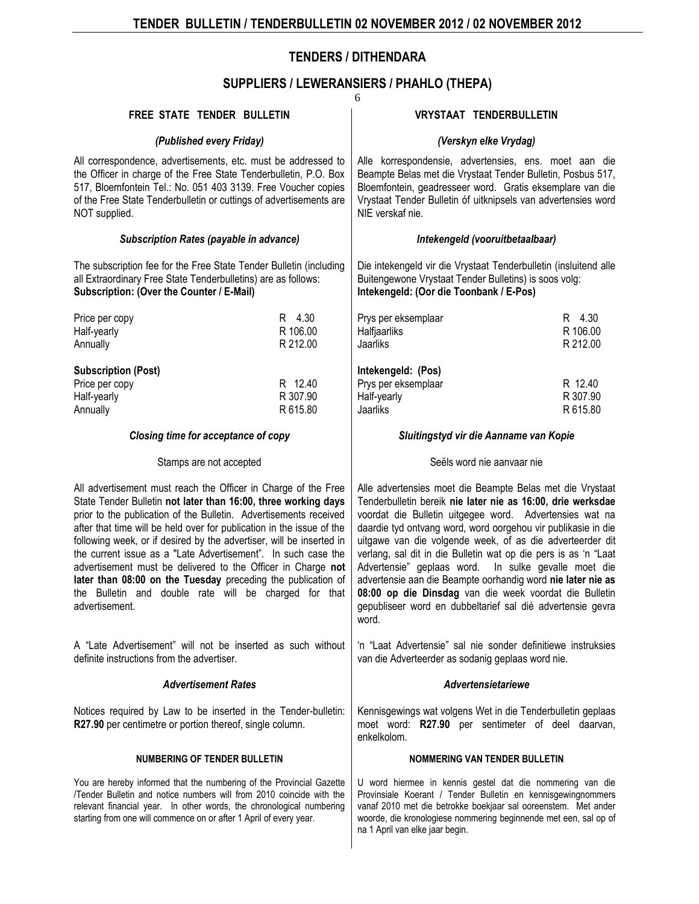## **TENDERS / DITHENDARA**

#### **SUPPLIERS / LEWERANSIERS / PHAHLO (THEPA)**

|                                                                                                                                                                                                                                                                                                                                                                                                                                                                                                                                                                                                                                    |          | 6                                                                                                                                                                                                                                                                                                                                                                                                                                                                                                                                                                                                                                            |          |  |
|------------------------------------------------------------------------------------------------------------------------------------------------------------------------------------------------------------------------------------------------------------------------------------------------------------------------------------------------------------------------------------------------------------------------------------------------------------------------------------------------------------------------------------------------------------------------------------------------------------------------------------|----------|----------------------------------------------------------------------------------------------------------------------------------------------------------------------------------------------------------------------------------------------------------------------------------------------------------------------------------------------------------------------------------------------------------------------------------------------------------------------------------------------------------------------------------------------------------------------------------------------------------------------------------------------|----------|--|
| FREE STATE TENDER BULLETIN                                                                                                                                                                                                                                                                                                                                                                                                                                                                                                                                                                                                         |          | <b>VRYSTAAT TENDERBULLETIN</b>                                                                                                                                                                                                                                                                                                                                                                                                                                                                                                                                                                                                               |          |  |
| (Published every Friday)                                                                                                                                                                                                                                                                                                                                                                                                                                                                                                                                                                                                           |          | (Verskyn elke Vrydag)                                                                                                                                                                                                                                                                                                                                                                                                                                                                                                                                                                                                                        |          |  |
| All correspondence, advertisements, etc. must be addressed to<br>the Officer in charge of the Free State Tenderbulletin, P.O. Box<br>517, Bloemfontein Tel.: No. 051 403 3139. Free Voucher copies<br>of the Free State Tenderbulletin or cuttings of advertisements are<br>NOT supplied.                                                                                                                                                                                                                                                                                                                                          |          | Alle korrespondensie, advertensies, ens. moet aan die<br>Beampte Belas met die Vrystaat Tender Bulletin, Posbus 517,<br>Bloemfontein, geadresseer word. Gratis eksemplare van die<br>Vrystaat Tender Bulletin óf uitknipsels van advertensies word<br>NIE verskaf nie.                                                                                                                                                                                                                                                                                                                                                                       |          |  |
| Subscription Rates (payable in advance)                                                                                                                                                                                                                                                                                                                                                                                                                                                                                                                                                                                            |          | Intekengeld (vooruitbetaalbaar)                                                                                                                                                                                                                                                                                                                                                                                                                                                                                                                                                                                                              |          |  |
| The subscription fee for the Free State Tender Bulletin (including<br>all Extraordinary Free State Tenderbulletins) are as follows:<br>Subscription: (Over the Counter / E-Mail)                                                                                                                                                                                                                                                                                                                                                                                                                                                   |          | Die intekengeld vir die Vrystaat Tenderbulletin (insluitend alle<br>Buitengewone Vrystaat Tender Bulletins) is soos volg:<br>Intekengeld: (Oor die Toonbank / E-Pos)                                                                                                                                                                                                                                                                                                                                                                                                                                                                         |          |  |
| Price per copy                                                                                                                                                                                                                                                                                                                                                                                                                                                                                                                                                                                                                     | R 4.30   | Prys per eksemplaar                                                                                                                                                                                                                                                                                                                                                                                                                                                                                                                                                                                                                          | R 4.30   |  |
| Half-yearly                                                                                                                                                                                                                                                                                                                                                                                                                                                                                                                                                                                                                        | R 106.00 | Halfjaarliks                                                                                                                                                                                                                                                                                                                                                                                                                                                                                                                                                                                                                                 | R 106.00 |  |
| Annually                                                                                                                                                                                                                                                                                                                                                                                                                                                                                                                                                                                                                           | R 212.00 | Jaarliks                                                                                                                                                                                                                                                                                                                                                                                                                                                                                                                                                                                                                                     | R 212.00 |  |
| <b>Subscription (Post)</b>                                                                                                                                                                                                                                                                                                                                                                                                                                                                                                                                                                                                         |          | Intekengeld: (Pos)                                                                                                                                                                                                                                                                                                                                                                                                                                                                                                                                                                                                                           |          |  |
| Price per copy                                                                                                                                                                                                                                                                                                                                                                                                                                                                                                                                                                                                                     | R 12.40  | Prys per eksemplaar                                                                                                                                                                                                                                                                                                                                                                                                                                                                                                                                                                                                                          | R 12.40  |  |
| Half-yearly                                                                                                                                                                                                                                                                                                                                                                                                                                                                                                                                                                                                                        | R 307.90 | Half-yearly                                                                                                                                                                                                                                                                                                                                                                                                                                                                                                                                                                                                                                  | R 307.90 |  |
| Annually                                                                                                                                                                                                                                                                                                                                                                                                                                                                                                                                                                                                                           | R 615.80 | Jaarliks                                                                                                                                                                                                                                                                                                                                                                                                                                                                                                                                                                                                                                     | R 615.80 |  |
| Closing time for acceptance of copy                                                                                                                                                                                                                                                                                                                                                                                                                                                                                                                                                                                                |          | Sluitingstyd vir die Aanname van Kopie                                                                                                                                                                                                                                                                                                                                                                                                                                                                                                                                                                                                       |          |  |
| Stamps are not accepted                                                                                                                                                                                                                                                                                                                                                                                                                                                                                                                                                                                                            |          | Seëls word nie aanvaar nie                                                                                                                                                                                                                                                                                                                                                                                                                                                                                                                                                                                                                   |          |  |
| All advertisement must reach the Officer in Charge of the Free<br>State Tender Bulletin not later than 16:00, three working days<br>prior to the publication of the Bulletin. Advertisements received<br>after that time will be held over for publication in the issue of the<br>following week, or if desired by the advertiser, will be inserted in<br>the current issue as a "Late Advertisement". In such case the<br>advertisement must be delivered to the Officer in Charge not<br>later than 08:00 on the Tuesday preceding the publication of<br>the Bulletin and double rate will be charged for that<br>advertisement. |          | Alle advertensies moet die Beampte Belas met die Vrystaat<br>Tenderbulletin bereik nie later nie as 16:00, drie werksdae<br>voordat die Bulletin uitgegee word. Advertensies wat na<br>daardie tyd ontvang word, word oorgehou vir publikasie in die<br>uitgawe van die volgende week, of as die adverteerder dit<br>verlang, sal dit in die Bulletin wat op die pers is as 'n "Laat<br>Advertensie" geplaas word. In sulke gevalle moet die<br>advertensie aan die Beampte oorhandig word nie later nie as<br>08:00 op die Dinsdag van die week voordat die Bulletin<br>gepubliseer word en dubbeltarief sal dié advertensie gevra<br>word. |          |  |
| A "Late Advertisement" will not be inserted as such without<br>definite instructions from the advertiser.                                                                                                                                                                                                                                                                                                                                                                                                                                                                                                                          |          | 'n "Laat Advertensie" sal nie sonder definitiewe instruksies<br>van die Adverteerder as sodanig geplaas word nie.                                                                                                                                                                                                                                                                                                                                                                                                                                                                                                                            |          |  |
| <b>Advertisement Rates</b>                                                                                                                                                                                                                                                                                                                                                                                                                                                                                                                                                                                                         |          | Advertensietariewe                                                                                                                                                                                                                                                                                                                                                                                                                                                                                                                                                                                                                           |          |  |
|                                                                                                                                                                                                                                                                                                                                                                                                                                                                                                                                                                                                                                    |          |                                                                                                                                                                                                                                                                                                                                                                                                                                                                                                                                                                                                                                              |          |  |
| Notices required by Law to be inserted in the Tender-bulletin:<br>R27.90 per centimetre or portion thereof, single column.                                                                                                                                                                                                                                                                                                                                                                                                                                                                                                         |          | Kennisgewings wat volgens Wet in die Tenderbulletin geplaas<br>moet word: R27.90 per sentimeter of deel daarvan,<br>enkelkolom.                                                                                                                                                                                                                                                                                                                                                                                                                                                                                                              |          |  |
| <b>NUMBERING OF TENDER BULLETIN</b>                                                                                                                                                                                                                                                                                                                                                                                                                                                                                                                                                                                                |          | <b>NOMMERING VAN TENDER BULLETIN</b>                                                                                                                                                                                                                                                                                                                                                                                                                                                                                                                                                                                                         |          |  |
| You are hereby informed that the numbering of the Provincial Gazette<br>/Tender Bulletin and notice numbers will from 2010 coincide with the<br>relevant financial year. In other words, the chronological numbering<br>starting from one will commence on or after 1 April of every year.                                                                                                                                                                                                                                                                                                                                         |          | U word hiermee in kennis gestel dat die nommering van die<br>Provinsiale Koerant / Tender Bulletin en kennisgewingnommers<br>vanaf 2010 met die betrokke boekjaar sal ooreenstem. Met ander<br>woorde, die kronologiese nommering beginnende met een, sal op of<br>na 1 April van elke jaar begin.                                                                                                                                                                                                                                                                                                                                           |          |  |